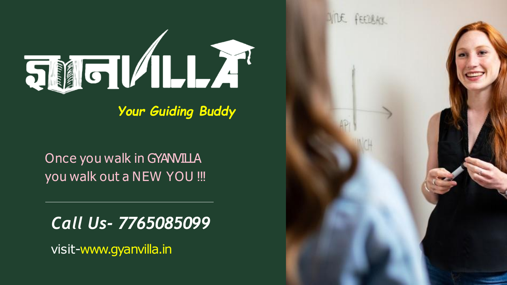visit-www.gyanvilla.in

## VIDE FEEDBACK



*Your Guiding Buddy*

### Once you walk in GYANVILLA you walk out a NEW YOU !!!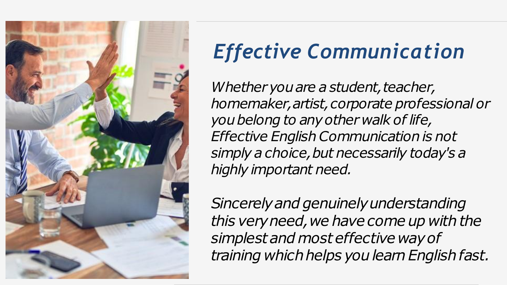*Whether* you are a student, teacher, *homemaker,artist,corporate professional or youbelong to anyother walk of life, Effective English Communication is not simply a choice,but necessarily today's a highly important need.*

*Sincerelyand genuinelyunderstanding this very need, we have come up with the simplestand most effective wayof training whichhelps youlearnEnglishfast.*



## *Effective Communication*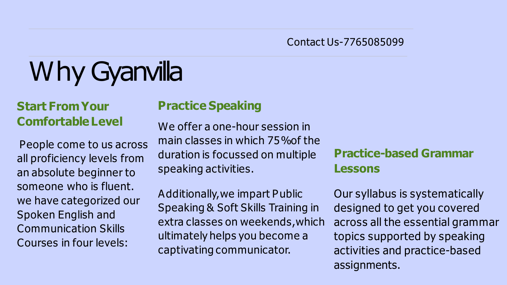## Why Gyanvilla

### **Start FromYour ComfortableLevel**

People come to us across all proficiency levels from an absolute beginner to someone who is fluent. we have categorized our Spoken English and Communication Skills Courses in four levels:

### **Practice Speaking**

We offer a one-hour session in main classes in which 75%of the duration is focussed on multiple speaking activities.

Additionally,we impart Public Speaking & Soft Skills Training in extra classes on weekends,which ultimately helps you become a captivating communicator. Our syllabus is systematically designed to get you covered across all the essential grammar topics supported by speaking activities and practice-based assignments.

### **Practice-based Grammar Lessons**

Contact Us-7765085099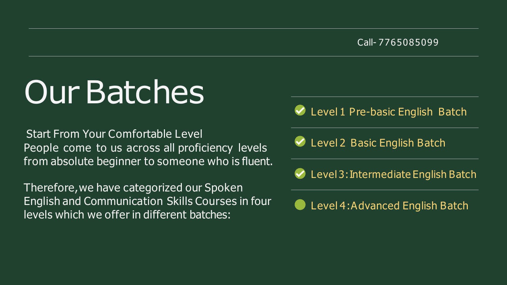### Level 4:Advanced English Batch

### Call- 7765085099

### ◆ Level 1 Pre-basic English Batch

### ◆ Level 2 Basic English Batch

### $\vee$  Level 3: Intermediate English Batch

## Our Batches

Start From Your Comfortable Level People come to us across all proficiency levels from absolute beginner to someone who is fluent.

Therefore,we have categorized our Spoken English and Communication Skills Courses in four levels which we offer in different batches: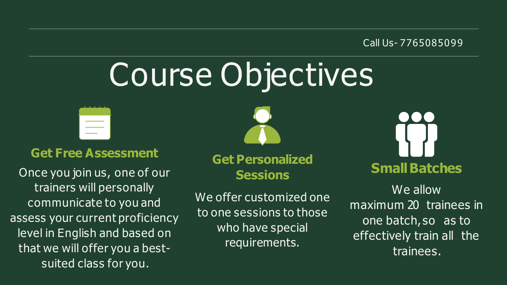# Course Objectives



### Call Us- 7765085099

# **Small Batches**

### **Get Free Assessment**

Once you join us, one of our trainers will personally communicate to you and assess your current proficiency level in English and based on that we will offer you a bestsuited class for you.



**Get Personalized Sessions**

We offer customized one to one sessions to those who have special requirements.

We allow maximum 20 trainees in one batch, so as to effectively train all the trainees.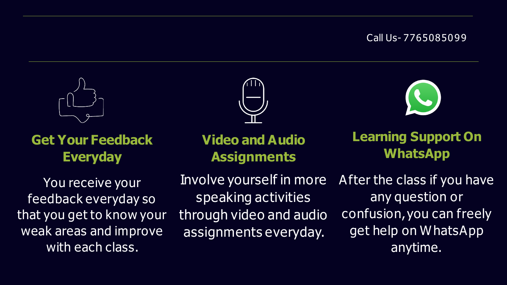



### **Get Your Feedback Everyday**

You receive your feedback everyday so that you get to know your weak areas and improve with each class.



### **Video and Audio Assignments**

Involve yourself in more speaking activities through video and audio assignments everyday.

### **Learning Support On WhatsApp**

After the class if you have any question or confusion, you can freely get help on WhatsApp anytime.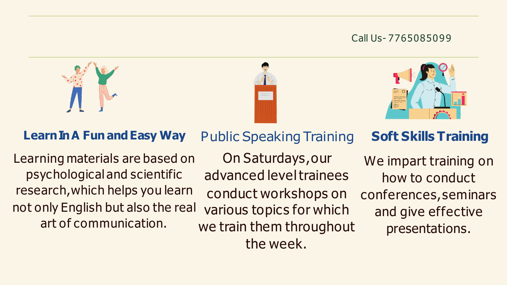

conduct workshops on we train them throughout the week. Public Speaking Training On Saturdays,our advanced leveltrainees **Soft Skills Training** We impart training on how to conduct conferences,seminars and give effective presentations.





### **LearnInA FunandEasy Way**

not only English but also the real various topics for which art of communication. Learning materials are based on psychological and scientific research,which helps you learn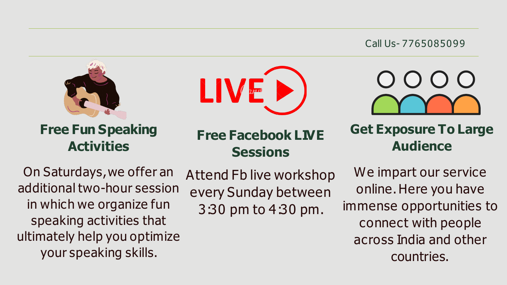



### **Free Fun Speaking Activities**

### **Free Facebook LIVE Sessions Get Exposure To Large Audience**

On Saturdays,we offer an additional two-hour session in which we organize fun speaking activities that ultimately help you optimize your speaking skills.

Attend Fb live workshop every Sunday between 3:30 pm to 4:30 pm. We impart our service online. Here you have immense opportunities to connect with people across India and other countries.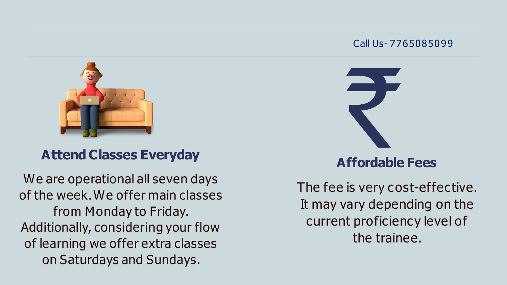

We are operational all seven days of the week.We offer main classes from Monday to Friday. Additionally, considering your flow of learning we offer extra classes on Saturdays and Sundays.



### **Attend Classes Everyday**

### **Affordable Fees**

The fee is very cost-effective. It may vary depending on the current proficiency level of the trainee.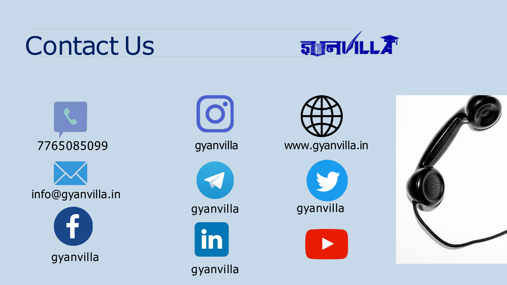